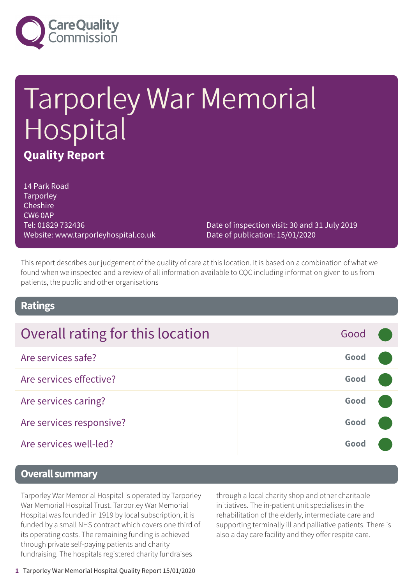

# Tarporley War Memorial Hospital **Quality Report**

14 Park Road **Tarporley Cheshire** CW6 0AP Tel: 01829 732436 Website: www.tarporleyhospital.co.uk

Date of inspection visit: 30 and 31 July 2019 Date of publication: 15/01/2020

This report describes our judgement of the quality of care at this location. It is based on a combination of what we found when we inspected and a review of all information available to CQC including information given to us from patients, the public and other organisations

### **Ratings**

| Overall rating for this location | Good |  |
|----------------------------------|------|--|
| Are services safe?               | Good |  |
| Are services effective?          | Good |  |
| Are services caring?             | Good |  |
| Are services responsive?         | Good |  |
| Are services well-led?           | Good |  |

### **Overall summary**

Tarporley War Memorial Hospital is operated by Tarporley War Memorial Hospital Trust. Tarporley War Memorial Hospital was founded in 1919 by local subscription, it is funded by a small NHS contract which covers one third of its operating costs. The remaining funding is achieved through private self-paying patients and charity fundraising. The hospitals registered charity fundraises

through a local charity shop and other charitable initiatives. The in-patient unit specialises in the rehabilitation of the elderly, intermediate care and supporting terminally ill and palliative patients. There is also a day care facility and they offer respite care.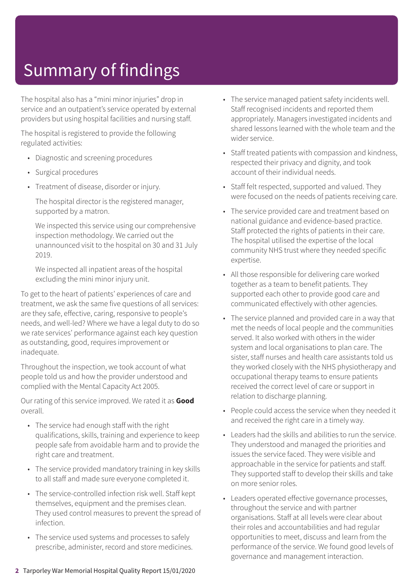The hospital also has a "mini minor injuries" drop in service and an outpatient's service operated by external providers but using hospital facilities and nursing staff.

The hospital is registered to provide the following regulated activities:

- Diagnostic and screening procedures
- Surgical procedures
- Treatment of disease, disorder or injury.

The hospital director is the registered manager, supported by a matron.

We inspected this service using our comprehensive inspection methodology. We carried out the unannounced visit to the hospital on 30 and 31 July 2019.

We inspected all inpatient areas of the hospital excluding the mini minor injury unit.

To get to the heart of patients' experiences of care and treatment, we ask the same five questions of all services: are they safe, effective, caring, responsive to people's needs, and well-led? Where we have a legal duty to do so we rate services' performance against each key question as outstanding, good, requires improvement or inadequate.

Throughout the inspection, we took account of what people told us and how the provider understood and complied with the Mental Capacity Act 2005.

Our rating of this service improved. We rated it as **Good** overall.

- The service had enough staff with the right qualifications, skills, training and experience to keep people safe from avoidable harm and to provide the right care and treatment.
- The service provided mandatory training in key skills to all staff and made sure everyone completed it.
- The service-controlled infection risk well. Staff kept themselves, equipment and the premises clean. They used control measures to prevent the spread of infection.
- The service used systems and processes to safely prescribe, administer, record and store medicines.
- The service managed patient safety incidents well. Staff recognised incidents and reported them appropriately. Managers investigated incidents and shared lessons learned with the whole team and the wider service.
- Staff treated patients with compassion and kindness, respected their privacy and dignity, and took account of their individual needs.
- Staff felt respected, supported and valued. They were focused on the needs of patients receiving care.
- The service provided care and treatment based on national guidance and evidence-based practice. Staff protected the rights of patients in their care. The hospital utilised the expertise of the local community NHS trust where they needed specific expertise.
- All those responsible for delivering care worked together as a team to benefit patients. They supported each other to provide good care and communicated effectively with other agencies.
- The service planned and provided care in a way that met the needs of local people and the communities served. It also worked with others in the wider system and local organisations to plan care. The sister, staff nurses and health care assistants told us they worked closely with the NHS physiotherapy and occupational therapy teams to ensure patients received the correct level of care or support in relation to discharge planning.
- People could access the service when they needed it and received the right care in a timely way.
- Leaders had the skills and abilities to run the service. They understood and managed the priorities and issues the service faced. They were visible and approachable in the service for patients and staff. They supported staff to develop their skills and take on more senior roles.
- Leaders operated effective governance processes, throughout the service and with partner organisations. Staff at all levels were clear about their roles and accountabilities and had regular opportunities to meet, discuss and learn from the performance of the service. We found good levels of governance and management interaction.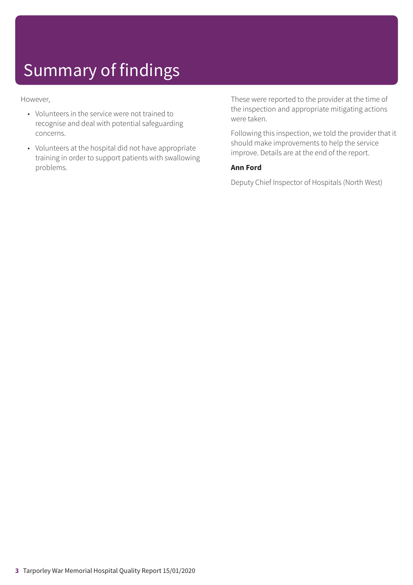However,

- Volunteers in the service were not trained to recognise and deal with potential safeguarding concerns.
- Volunteers at the hospital did not have appropriate training in order to support patients with swallowing problems.

These were reported to the provider at the time of the inspection and appropriate mitigating actions were taken.

Following this inspection, we told the provider that it should make improvements to help the service improve. Details are at the end of the report.

### **Ann Ford**

Deputy Chief Inspector of Hospitals (North West)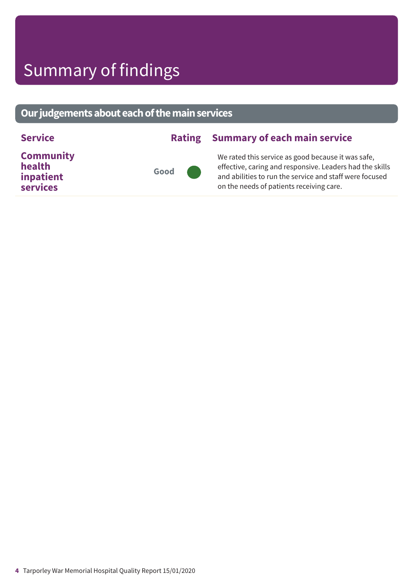### **Ourjudgementsabouteachofthemainservices**

| <b>Community</b><br>We rated this service as good because it was safe,              | <b>Service</b> | <b>Rating Summary of each main service</b>                                                                          |
|-------------------------------------------------------------------------------------|----------------|---------------------------------------------------------------------------------------------------------------------|
| health<br>Good<br>inpatient<br>services<br>on the needs of patients receiving care. |                | effective, caring and responsive. Leaders had the skills<br>and abilities to run the service and staff were focused |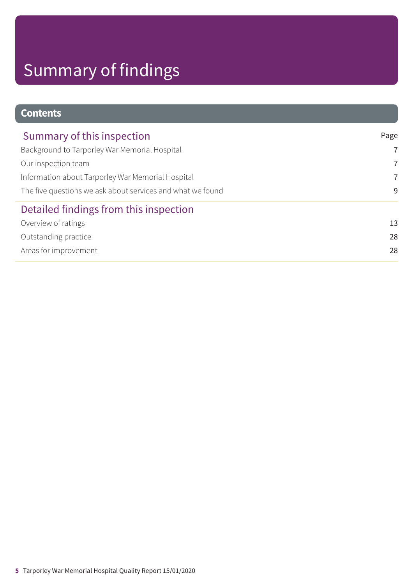### **Contents**

| Summary of this inspection                                 | Page           |
|------------------------------------------------------------|----------------|
| Background to Tarporley War Memorial Hospital              | $\overline{7}$ |
| Our inspection team                                        | $\overline{7}$ |
| Information about Tarporley War Memorial Hospital          | $\overline{7}$ |
| The five questions we ask about services and what we found | 9              |
| Detailed findings from this inspection                     |                |
| Overview of ratings                                        | 13             |
| Outstanding practice                                       | 28             |
| Areas for improvement                                      | 28             |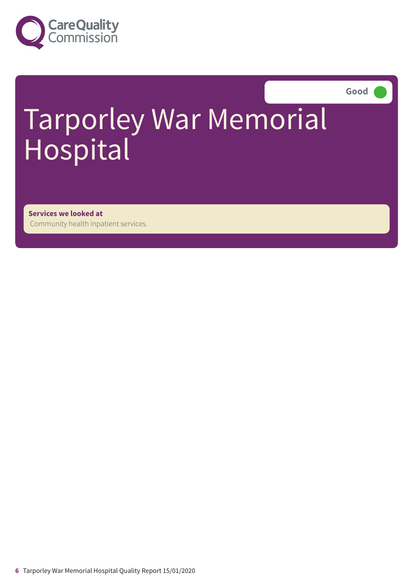

**Good –––**

# Tarporley War Memorial Hospital

**Services we looked at** Community health inpatient services.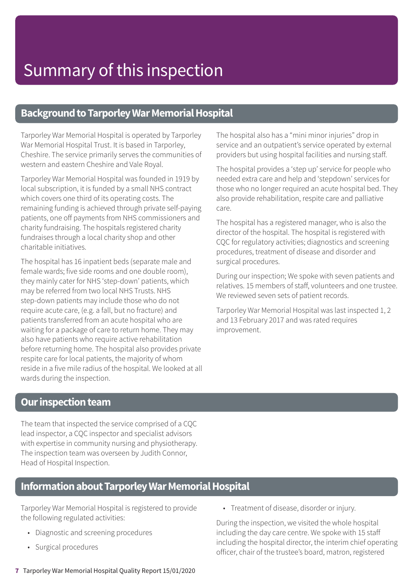### **Background to Tarporley War Memorial Hospital**

Tarporley War Memorial Hospital is operated by Tarporley War Memorial Hospital Trust. It is based in Tarporley, Cheshire. The service primarily serves the communities of western and eastern Cheshire and Vale Royal.

Tarporley War Memorial Hospital was founded in 1919 by local subscription, it is funded by a small NHS contract which covers one third of its operating costs. The remaining funding is achieved through private self-paying patients, one off payments from NHS commissioners and charity fundraising. The hospitals registered charity fundraises through a local charity shop and other charitable initiatives.

The hospital has 16 inpatient beds (separate male and female wards; five side rooms and one double room), they mainly cater for NHS 'step-down' patients, which may be referred from two local NHS Trusts. NHS step-down patients may include those who do not require acute care, (e.g. a fall, but no fracture) and patients transferred from an acute hospital who are waiting for a package of care to return home. They may also have patients who require active rehabilitation before returning home. The hospital also provides private respite care for local patients, the majority of whom reside in a five mile radius of the hospital. We looked at all wards during the inspection.

The hospital also has a "mini minor injuries" drop in service and an outpatient's service operated by external providers but using hospital facilities and nursing staff.

The hospital provides a 'step up' service for people who needed extra care and help and 'stepdown' services for those who no longer required an acute hospital bed. They also provide rehabilitation, respite care and palliative care.

The hospital has a registered manager, who is also the director of the hospital. The hospital is registered with CQC for regulatory activities; diagnostics and screening procedures, treatment of disease and disorder and surgical procedures.

During our inspection; We spoke with seven patients and relatives. 15 members of staff, volunteers and one trustee. We reviewed seven sets of patient records.

Tarporley War Memorial Hospital was last inspected 1, 2 and 13 February 2017 and was rated requires improvement.

### **Our inspection team**

The team that inspected the service comprised of a CQC lead inspector, a CQC inspector and specialist advisors with expertise in community nursing and physiotherapy. The inspection team was overseen by Judith Connor, Head of Hospital Inspection.

### **Information about Tarporley War Memorial Hospital**

Tarporley War Memorial Hospital is registered to provide the following regulated activities:

- Diagnostic and screening procedures
- Surgical procedures

• Treatment of disease, disorder or injury.

During the inspection, we visited the whole hospital including the day care centre. We spoke with 15 staff including the hospital director, the interim chief operating officer, chair of the trustee's board, matron, registered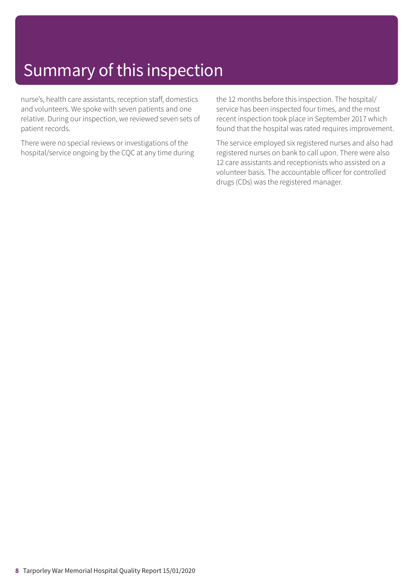nurse's, health care assistants, reception staff, domestics and volunteers. We spoke with seven patients and one relative. During our inspection, we reviewed seven sets of patient records.

There were no special reviews or investigations of the hospital/service ongoing by the CQC at any time during the 12 months before this inspection. The hospital/ service has been inspected four times, and the most recent inspection took place in September 2017 which found that the hospital was rated requires improvement.

The service employed six registered nurses and also had registered nurses on bank to call upon. There were also 12 care assistants and receptionists who assisted on a volunteer basis. The accountable officer for controlled drugs (CDs) was the registered manager.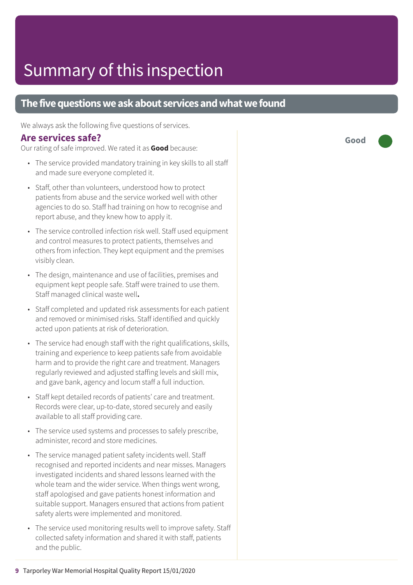### **The five questions we ask about services and what we found**

We always ask the following five questions of services.

### **Are services safe?**

Our rating of safe improved. We rated it as **Good** because:

- The service provided mandatory training in key skills to all staff and made sure everyone completed it.
- Staff, other than volunteers, understood how to protect patients from abuse and the service worked well with other agencies to do so. Staff had training on how to recognise and report abuse, and they knew how to apply it.
- The service controlled infection risk well. Staff used equipment and control measures to protect patients, themselves and others from infection. They kept equipment and the premises visibly clean.
- The design, maintenance and use of facilities, premises and equipment kept people safe. Staff were trained to use them. Staff managed clinical waste well**.**
- Staff completed and updated risk assessments for each patient and removed or minimised risks. Staff identified and quickly acted upon patients at risk of deterioration.
- The service had enough staff with the right qualifications, skills, training and experience to keep patients safe from avoidable harm and to provide the right care and treatment. Managers regularly reviewed and adjusted staffing levels and skill mix, and gave bank, agency and locum staff a full induction.
- Staff kept detailed records of patients' care and treatment. Records were clear, up-to-date, stored securely and easily available to all staff providing care.
- The service used systems and processes to safely prescribe, administer, record and store medicines.
- The service managed patient safety incidents well. Staff recognised and reported incidents and near misses. Managers investigated incidents and shared lessons learned with the whole team and the wider service. When things went wrong, staff apologised and gave patients honest information and suitable support. Managers ensured that actions from patient safety alerts were implemented and monitored.
- The service used monitoring results well to improve safety. Staff collected safety information and shared it with staff, patients and the public.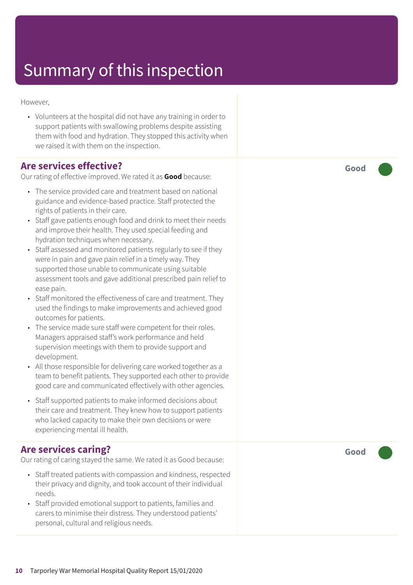However,

• Volunteers at the hospital did not have any training in order to support patients with swallowing problems despite assisting them with food and hydration. They stopped this activity when we raised it with them on the inspection.

### **Are services effective?**

Our rating of effective improved. We rated it as **Good** because:

- The service provided care and treatment based on national guidance and evidence-based practice. Staff protected the rights of patients in their care.
- Staff gave patients enough food and drink to meet their needs and improve their health. They used special feeding and hydration techniques when necessary.
- Staff assessed and monitored patients regularly to see if they were in pain and gave pain relief in a timely way. They supported those unable to communicate using suitable assessment tools and gave additional prescribed pain relief to ease pain.
- Staff monitored the effectiveness of care and treatment. They used the findings to make improvements and achieved good outcomes for patients.
- The service made sure staff were competent for their roles. Managers appraised staff's work performance and held supervision meetings with them to provide support and development.
- All those responsible for delivering care worked together as a team to benefit patients. They supported each other to provide good care and communicated effectively with other agencies.
- Staff supported patients to make informed decisions about their care and treatment. They knew how to support patients who lacked capacity to make their own decisions or were experiencing mental ill health.

### **Are services caring?**

Our rating of caring stayed the same. We rated it as Good because:

- Staff treated patients with compassion and kindness, respected their privacy and dignity, and took account of their individual needs.
- Staff provided emotional support to patients, families and carers to minimise their distress. They understood patients' personal, cultural and religious needs.

**Good –––**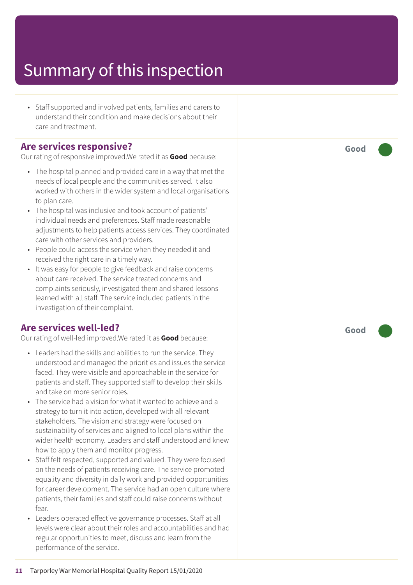• Staff supported and involved patients, families and carers to understand their condition and mak e decisions about their car e and tr eatment.

### **Ar e services responsive ?**

Our rating of responsive improved.We rated it as Good because:

- The hospital planned and provided car e in a way that me t the needs of local people and the communities served. It also worked with other s in the wider system and local or ganisations t o plan care.
- The hospital was inclusive and took ac count of patients' individual needs and preferences. Staff made r easonable adjustments to help patients access services. They coordinated car e with other services and providers.
- People could ac cess the servic e when the y needed it and received the right care in a timely way.
- It was easy for people to give feedback and raise concerns about car e received. The servic e tr eated concerns and complaints seriously , investigated them and shared lessons learned with all staff. The servic e included patients in the investigation of their complaint.

### **Ar e services well-led?**

Our rating of well-led improved.We rated it as Good because:

- Leaders had the skills and abilities to run the service. They understood and managed the priorities and issues the servic e faced. The y wer e visible and appr oachable in the servic e for patients and staff. The y supported staff t o develop their skills and tak e on mor e senior roles.
- The servic e had a vision for what it wanted t o achieve and a strat egy t o turn it int o action, developed with all rele vant stakeholders. The vision and strat egy wer e focused on sustainability of services and aligned t o local plans within the wider health economy. L eader s and staff understood and kne w how t o apply them and monitor progress.
- Staff felt respected, supported and valued. They were focused on the needs of patients receiving care. The servic e promoted equality and diversity in daily work and provided opportunities for career development. The service had an open culture where patients, their families and staff could raise concerns without fear.
- Leaders operated effective governance processes. Staff at all levels wer e clear about their roles and ac countabilities and had regular opportunities to meet, discuss and learn from the performanc e of the service.

**Good –––**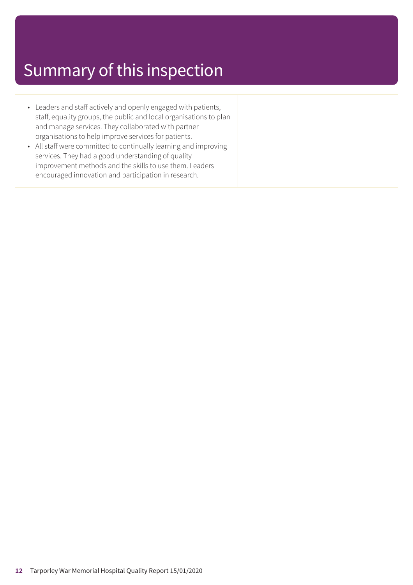- Leaders and staff actively and openly engaged with patients, staff, equality groups, the public and local organisations to plan and manage services. They collaborated with partner organisations to help improve services for patients.
- All staff were committed to continually learning and improving services. They had a good understanding of quality improvement methods and the skills to use them. Leaders encouraged innovation and participation in research.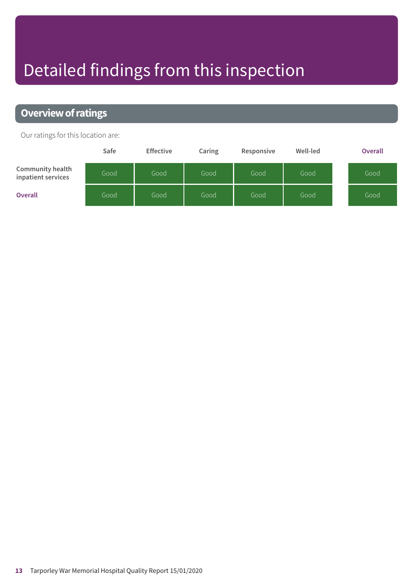# Detailed findings from this inspection

### **Overview of ratings**

Our ratings for this location are:

|                                        | Safe | <b>Effective</b> | Caring | Responsive | Well-led | <b>Overall</b> |
|----------------------------------------|------|------------------|--------|------------|----------|----------------|
| Community health<br>inpatient services | Good | Good             | Good   | Good       | Good     | Good           |
| <b>Overall</b>                         | Good | Good             | Good   | Good       | Good     | Good           |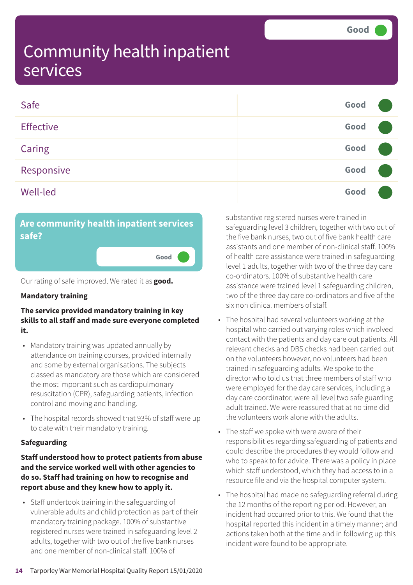| Safe             | Good |  |
|------------------|------|--|
| <b>Effective</b> | Good |  |
| Caring           | Good |  |
| Responsive       | Good |  |
| Well-led         | Good |  |

### **Are community health inpatient services safe?**

**Good –––**

Our rating of safe improved. We rated it as **good.**

#### **Mandatory training**

#### **The service provided mandatory training in key skills to all staff and made sure everyone completed it.**

- Mandatory training was updated annually by attendance on training courses, provided internally and some by external organisations. The subjects classed as mandatory are those which are considered the most important such as cardiopulmonary resuscitation (CPR), safeguarding patients, infection control and moving and handling.
- The hospital records showed that 93% of staff were up to date with their mandatory training.

#### **Safeguarding**

#### **Staff understood how to protect patients from abuse and the service worked well with other agencies to do so. Staff had training on how to recognise and report abuse and they knew how to apply it.**

• Staff undertook training in the safeguarding of vulnerable adults and child protection as part of their mandatory training package. 100% of substantive registered nurses were trained in safeguarding level 2 adults, together with two out of the five bank nurses and one member of non-clinical staff. 100% of

substantive registered nurses were trained in safeguarding level 3 children, together with two out of the five bank nurses, two out of five bank health care assistants and one member of non-clinical staff. 100% of health care assistance were trained in safeguarding level 1 adults, together with two of the three day care co-ordinators. 100% of substantive health care assistance were trained level 1 safeguarding children, two of the three day care co-ordinators and five of the six non clinical members of staff.

- The hospital had several volunteers working at the hospital who carried out varying roles which involved contact with the patients and day care out patients. All relevant checks and DBS checks had been carried out on the volunteers however, no volunteers had been trained in safeguarding adults. We spoke to the director who told us that three members of staff who were employed for the day care services, including a day care coordinator, were all level two safe guarding adult trained. We were reassured that at no time did the volunteers work alone with the adults.
- The staff we spoke with were aware of their responsibilities regarding safeguarding of patients and could describe the procedures they would follow and who to speak to for advice. There was a policy in place which staff understood, which they had access to in a resource file and via the hospital computer system.
- The hospital had made no safeguarding referral during the 12 months of the reporting period. However, an incident had occurred prior to this. We found that the hospital reported this incident in a timely manner; and actions taken both at the time and in following up this incident were found to be appropriate.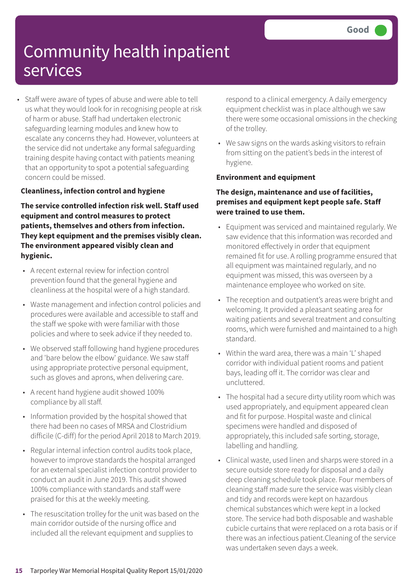• Staff were aware of types of abuse and were able to tell us what they would look for in recognising people at risk of harm or abuse. Staff had undertaken electronic safeguarding learning modules and knew how to escalate any concerns they had. However, volunteers at the service did not undertake any formal safeguarding training despite having contact with patients meaning that an opportunity to spot a potential safeguarding concern could be missed.

#### **Cleanliness, infection control and hygiene**

**The service controlled infection risk well. Staff used equipment and control measures to protect patients, themselves and others from infection. They kept equipment and the premises visibly clean. The environment appeared visibly clean and hygienic.**

- A recent external review for infection control prevention found that the general hygiene and cleanliness at the hospital were of a high standard.
- Waste management and infection control policies and procedures were available and accessible to staff and the staff we spoke with were familiar with those policies and where to seek advice if they needed to.
- We observed staff following hand hygiene procedures and 'bare below the elbow' guidance. We saw staff using appropriate protective personal equipment, such as gloves and aprons, when delivering care.
- A recent hand hygiene audit showed 100% compliance by all staff.
- Information provided by the hospital showed that there had been no cases of MRSA and Clostridium difficile (C-diff) for the period April 2018 to March 2019.
- Regular internal infection control audits took place, however to improve standards the hospital arranged for an external specialist infection control provider to conduct an audit in June 2019. This audit showed 100% compliance with standards and staff were praised for this at the weekly meeting.
- The resuscitation trolley for the unit was based on the main corridor outside of the nursing office and included all the relevant equipment and supplies to

respond to a clinical emergency. A daily emergency equipment checklist was in place although we saw there were some occasional omissions in the checking of the trolley.

• We saw signs on the wards asking visitors to refrain from sitting on the patient's beds in the interest of hygiene.

#### **Environment and equipment**

#### **The design, maintenance and use of facilities, premises and equipment kept people safe. Staff were trained to use them.**

- Equipment was serviced and maintained regularly. We saw evidence that this information was recorded and monitored effectively in order that equipment remained fit for use. A rolling programme ensured that all equipment was maintained regularly, and no equipment was missed, this was overseen by a maintenance employee who worked on site.
- The reception and outpatient's areas were bright and welcoming. It provided a pleasant seating area for waiting patients and several treatment and consulting rooms, which were furnished and maintained to a high standard.
- Within the ward area, there was a main 'L' shaped corridor with individual patient rooms and patient bays, leading off it. The corridor was clear and uncluttered.
- The hospital had a secure dirty utility room which was used appropriately, and equipment appeared clean and fit for purpose. Hospital waste and clinical specimens were handled and disposed of appropriately, this included safe sorting, storage, labelling and handling.
- Clinical waste, used linen and sharps were stored in a secure outside store ready for disposal and a daily deep cleaning schedule took place. Four members of cleaning staff made sure the service was visibly clean and tidy and records were kept on hazardous chemical substances which were kept in a locked store. The service had both disposable and washable cubicle curtains that were replaced on a rota basis or if there was an infectious patient.Cleaning of the service was undertaken seven days a week.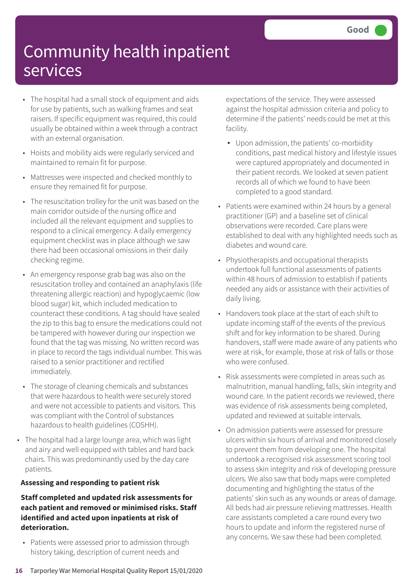- The hospital had a small stock of equipment and aids for use by patients, such as walking frames and seat raisers. If specific equipment was required, this could usually be obtained within a week through a contract with an external organisation.
- Hoists and mobility aids were regularly serviced and maintained to remain fit for purpose.
- Mattresses were inspected and checked monthly to ensure they remained fit for purpose.
- The resuscitation trolley for the unit was based on the main corridor outside of the nursing office and included all the relevant equipment and supplies to respond to a clinical emergency. A daily emergency equipment checklist was in place although we saw there had been occasional omissions in their daily checking regime.
- An emergency response grab bag was also on the resuscitation trolley and contained an anaphylaxis (life threatening allergic reaction) and hypoglycaemic (low blood sugar) kit, which included medication to counteract these conditions. A tag should have sealed the zip to this bag to ensure the medications could not be tampered with however during our inspection we found that the tag was missing. No written record was in place to record the tags individual number. This was raised to a senior practitioner and rectified immediately.
- The storage of cleaning chemicals and substances that were hazardous to health were securely stored and were not accessible to patients and visitors. This was compliant with the Control of substances hazardous to health guidelines (COSHH).
- The hospital had a large lounge area, which was light and airy and well equipped with tables and hard back chairs. This was predominantly used by the day care patients.

#### **Assessing and responding to patient risk**

#### **Staff completed and updated risk assessments for each patient and removed or minimised risks. Staff identified and acted upon inpatients at risk of deterioration.**

• Patients were assessed prior to admission through history taking, description of current needs and

expectations of the service. They were assessed against the hospital admission criteria and policy to determine if the patients' needs could be met at this facility.

- Upon admission, the patients' co-morbidity conditions, past medical history and lifestyle issues were captured appropriately and documented in their patient records. We looked at seven patient records all of which we found to have been completed to a good standard.
- Patients were examined within 24 hours by a general practitioner (GP) and a baseline set of clinical observations were recorded. Care plans were established to deal with any highlighted needs such as diabetes and wound care.
- Physiotherapists and occupational therapists undertook full functional assessments of patients within 48 hours of admission to establish if patients needed any aids or assistance with their activities of daily living.
- Handovers took place at the start of each shift to update incoming staff of the events of the previous shift and for key information to be shared. During handovers, staff were made aware of any patients who were at risk, for example, those at risk of falls or those who were confused.
- Risk assessments were completed in areas such as malnutrition, manual handling, falls, skin integrity and wound care. In the patient records we reviewed, there was evidence of risk assessments being completed, updated and reviewed at suitable intervals.
- On admission patients were assessed for pressure ulcers within six hours of arrival and monitored closely to prevent them from developing one. The hospital undertook a recognised risk assessment scoring tool to assess skin integrity and risk of developing pressure ulcers. We also saw that body maps were completed documenting and highlighting the status of the patients' skin such as any wounds or areas of damage. All beds had air pressure relieving mattresses. Health care assistants completed a care round every two hours to update and inform the registered nurse of any concerns. We saw these had been completed.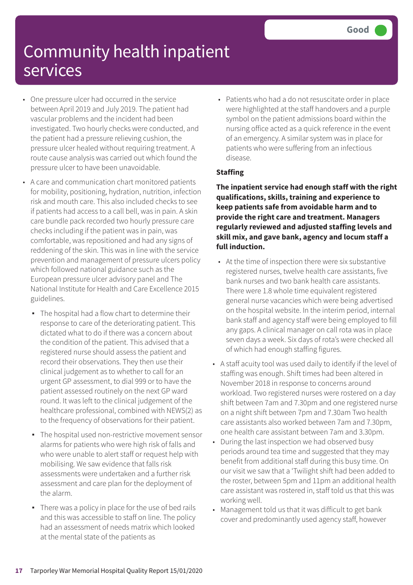- One pressure ulcer had occurred in the service between April 2019 and July 2019. The patient had vascular problems and the incident had been investigated. Two hourly checks were conducted, and the patient had a pressure relieving cushion, the pressure ulcer healed without requiring treatment. A route cause analysis was carried out which found the pressure ulcer to have been unavoidable.
- A care and communication chart monitored patients for mobility, positioning, hydration, nutrition, infection risk and mouth care. This also included checks to see if patients had access to a call bell, was in pain. A skin care bundle pack recorded two hourly pressure care checks including if the patient was in pain, was comfortable, was repositioned and had any signs of reddening of the skin. This was in line with the service prevention and management of pressure ulcers policy which followed national guidance such as the European pressure ulcer advisory panel and The National Institute for Health and Care Excellence 2015 guidelines.
	- The hospital had a flow chart to determine their response to care of the deteriorating patient. This dictated what to do if there was a concern about the condition of the patient. This advised that a registered nurse should assess the patient and record their observations. They then use their clinical judgement as to whether to call for an urgent GP assessment, to dial 999 or to have the patient assessed routinely on the next GP ward round. It was left to the clinical judgement of the healthcare professional, combined with NEWS(2) as to the frequency of observations for their patient.
	- The hospital used non-restrictive movement sensor alarms for patients who were high risk of falls and who were unable to alert staff or request help with mobilising. We saw evidence that falls risk assessments were undertaken and a further risk assessment and care plan for the deployment of the alarm.
	- There was a policy in place for the use of bed rails and this was accessible to staff on line. The policy had an assessment of needs matrix which looked at the mental state of the patients as

• Patients who had a do not resuscitate order in place were highlighted at the staff handovers and a purple symbol on the patient admissions board within the nursing office acted as a quick reference in the event of an emergency. A similar system was in place for patients who were suffering from an infectious disease.

#### **Staffing**

**The inpatient service had enough staff with the right qualifications, skills, training and experience to keep patients safe from avoidable harm and to provide the right care and treatment. Managers regularly reviewed and adjusted staffing levels and skill mix, and gave bank, agency and locum staff a full induction.**

- At the time of inspection there were six substantive registered nurses, twelve health care assistants, five bank nurses and two bank health care assistants. There were 1.8 whole time equivalent registered general nurse vacancies which were being advertised on the hospital website. In the interim period, internal bank staff and agency staff were being employed to fill any gaps. A clinical manager on call rota was in place seven days a week. Six days of rota's were checked all of which had enough staffing figures.
- A staff acuity tool was used daily to identify if the level of staffing was enough. Shift times had been altered in November 2018 in response to concerns around workload. Two registered nurses were rostered on a day shift between 7am and 7.30pm and one registered nurse on a night shift between 7pm and 7.30am Two health care assistants also worked between 7am and 7.30pm, one health care assistant between 7am and 3.30pm.
- During the last inspection we had observed busy periods around tea time and suggested that they may benefit from additional staff during this busy time. On our visit we saw that a 'Twilight shift had been added to the roster, between 5pm and 11pm an additional health care assistant was rostered in, staff told us that this was working well.
- Management told us that it was difficult to get bank cover and predominantly used agency staff, however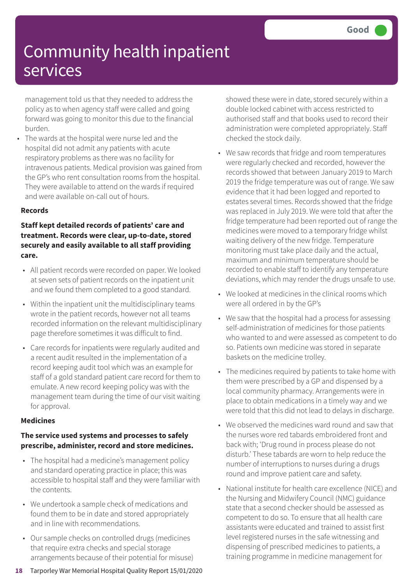management told us that they needed to address the policy as to when agency staff were called and going forward was going to monitor this due to the financial burden.

• The wards at the hospital were nurse led and the hospital did not admit any patients with acute respiratory problems as there was no facility for intravenous patients. Medical provision was gained from the GP's who rent consultation rooms from the hospital. They were available to attend on the wards if required and were available on-call out of hours.

#### **Records**

### **Staff kept detailed records of patients' care and treatment. Records were clear, up-to-date, stored securely and easily available to all staff providing care.**

- All patient records were recorded on paper. We looked at seven sets of patient records on the inpatient unit and we found them completed to a good standard.
- Within the inpatient unit the multidisciplinary teams wrote in the patient records, however not all teams recorded information on the relevant multidisciplinary page therefore sometimes it was difficult to find.
- Care records for inpatients were regularly audited and a recent audit resulted in the implementation of a record keeping audit tool which was an example for staff of a gold standard patient care record for them to emulate. A new record keeping policy was with the management team during the time of our visit waiting for approval.

#### **Medicines**

### **The service used systems and processes to safely prescribe, administer, record and store medicines.**

- The hospital had a medicine's management policy and standard operating practice in place; this was accessible to hospital staff and they were familiar with the contents.
- We undertook a sample check of medications and found them to be in date and stored appropriately and in line with recommendations.
- Our sample checks on controlled drugs (medicines that require extra checks and special storage arrangements because of their potential for misuse)

showed these were in date, stored securely within a double locked cabinet with access restricted to authorised staff and that books used to record their administration were completed appropriately. Staff checked the stock daily.

- We saw records that fridge and room temperatures were regularly checked and recorded, however the records showed that between January 2019 to March 2019 the fridge temperature was out of range. We saw evidence that it had been logged and reported to estates several times. Records showed that the fridge was replaced in July 2019. We were told that after the fridge temperature had been reported out of range the medicines were moved to a temporary fridge whilst waiting delivery of the new fridge. Temperature monitoring must take place daily and the actual, maximum and minimum temperature should be recorded to enable staff to identify any temperature deviations, which may render the drugs unsafe to use.
- We looked at medicines in the clinical rooms which were all ordered in by the GP's
- We saw that the hospital had a process for assessing self-administration of medicines for those patients who wanted to and were assessed as competent to do so. Patients own medicine was stored in separate baskets on the medicine trolley.
- The medicines required by patients to take home with them were prescribed by a GP and dispensed by a local community pharmacy. Arrangements were in place to obtain medications in a timely way and we were told that this did not lead to delays in discharge.
- We observed the medicines ward round and saw that the nurses wore red tabards embroidered front and back with; 'Drug round in process please do not disturb.' These tabards are worn to help reduce the number of interruptions to nurses during a drugs round and improve patient care and safety.
- National institute for health care excellence (NICE) and the Nursing and Midwifery Council (NMC) guidance state that a second checker should be assessed as competent to do so. To ensure that all health care assistants were educated and trained to assist first level registered nurses in the safe witnessing and dispensing of prescribed medicines to patients, a training programme in medicine management for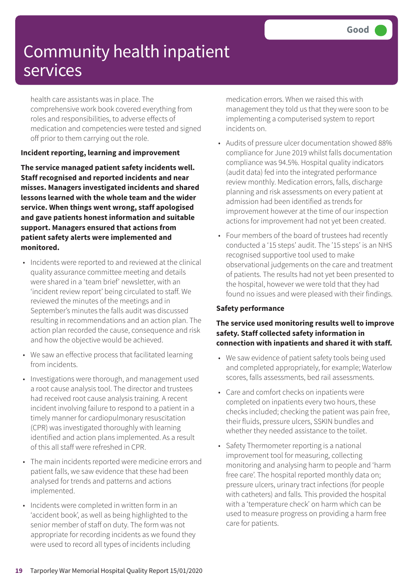health care assistants was in place. The comprehensive work book covered everything from roles and responsibilities, to adverse effects of medication and competencies were tested and signed off prior to them carrying out the role.

### **Incident reporting, learning and improvement**

**The service managed patient safety incidents well. Staff recognised and reported incidents and near misses. Managers investigated incidents and shared lessons learned with the whole team and the wider service. When things went wrong, staff apologised and gave patients honest information and suitable support. Managers ensured that actions from patient safety alerts were implemented and monitored.**

- Incidents were reported to and reviewed at the clinical quality assurance committee meeting and details were shared in a 'team brief' newsletter, with an 'incident review report' being circulated to staff. We reviewed the minutes of the meetings and in September's minutes the falls audit was discussed resulting in recommendations and an action plan. The action plan recorded the cause, consequence and risk and how the objective would be achieved.
- We saw an effective process that facilitated learning from incidents.
- Investigations were thorough, and management used a root cause analysis tool. The director and trustees had received root cause analysis training. A recent incident involving failure to respond to a patient in a timely manner for cardiopulmonary resuscitation (CPR) was investigated thoroughly with learning identified and action plans implemented. As a result of this all staff were refreshed in CPR.
- The main incidents reported were medicine errors and patient falls, we saw evidence that these had been analysed for trends and patterns and actions implemented.
- Incidents were completed in written form in an 'accident book', as well as being highlighted to the senior member of staff on duty. The form was not appropriate for recording incidents as we found they were used to record all types of incidents including

medication errors. When we raised this with management they told us that they were soon to be implementing a computerised system to report incidents on.

- Audits of pressure ulcer documentation showed 88% compliance for June 2019 whilst falls documentation compliance was 94.5%. Hospital quality indicators (audit data) fed into the integrated performance review monthly. Medication errors, falls, discharge planning and risk assessments on every patient at admission had been identified as trends for improvement however at the time of our inspection actions for improvement had not yet been created.
- Four members of the board of trustees had recently conducted a '15 steps' audit. The '15 steps' is an NHS recognised supportive tool used to make observational judgements on the care and treatment of patients. The results had not yet been presented to the hospital, however we were told that they had found no issues and were pleased with their findings.

#### **Safety performance**

#### **The service used monitoring results well to improve safety. Staff collected safety information in connection with inpatients and shared it with staff.**

- We saw evidence of patient safety tools being used and completed appropriately, for example; Waterlow scores, falls assessments, bed rail assessments.
- Care and comfort checks on inpatients were completed on inpatients every two hours, these checks included; checking the patient was pain free, their fluids, pressure ulcers, SSKIN bundles and whether they needed assistance to the toilet.
- Safety Thermometer reporting is a national improvement tool for measuring, collecting monitoring and analysing harm to people and 'harm free care'. The hospital reported monthly data on; pressure ulcers, urinary tract infections (for people with catheters) and falls. This provided the hospital with a 'temperature check' on harm which can be used to measure progress on providing a harm free care for patients.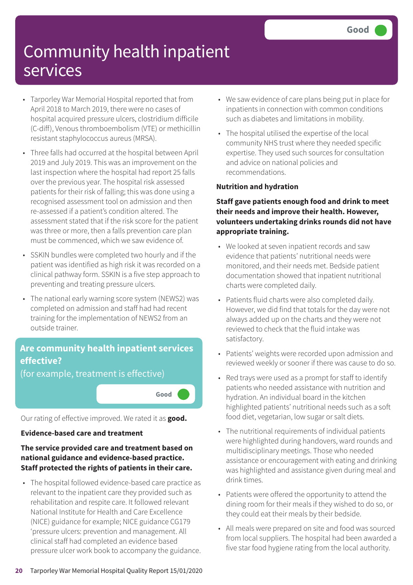- Tarporley War Memorial Hospital reported that from April 2018 to March 2019, there were no cases of hospital acquired pressure ulcers, clostridium difficile (C-diff), Venous thromboembolism (VTE) or methicillin resistant staphylococcus aureus (MRSA).
- Three falls had occurred at the hospital between April 2019 and July 2019. This was an improvement on the last inspection where the hospital had report 25 falls over the previous year. The hospital risk assessed patients for their risk of falling; this was done using a recognised assessment tool on admission and then re-assessed if a patient's condition altered. The assessment stated that if the risk score for the patient was three or more, then a falls prevention care plan must be commenced, which we saw evidence of.
- SSKIN bundles were completed two hourly and if the patient was identified as high risk it was recorded on a clinical pathway form. SSKIN is a five step approach to preventing and treating pressure ulcers.
- The national early warning score system (NEWS2) was completed on admission and staff had had recent training for the implementation of NEWS2 from an outside trainer.

### **Are community health inpatient services effective?**

(for example, treatment is effective)

**Good –––**

Our rating of effective improved. We rated it as **good.**

### **Evidence-based care and treatment**

### **The service provided care and treatment based on national guidance and evidence-based practice. Staff protected the rights of patients in their care.**

• The hospital followed evidence-based care practice as relevant to the inpatient care they provided such as rehabilitation and respite care. It followed relevant National Institute for Health and Care Excellence (NICE) guidance for example; NICE guidance CG179 'pressure ulcers: prevention and management. All clinical staff had completed an evidence based pressure ulcer work book to accompany the guidance.

- We saw evidence of care plans being put in place for inpatients in connection with common conditions such as diabetes and limitations in mobility.
- The hospital utilised the expertise of the local community NHS trust where they needed specific expertise. They used such sources for consultation and advice on national policies and recommendations.

### **Nutrition and hydration**

### **Staff gave patients enough food and drink to meet their needs and improve their health. However, volunteers undertaking drinks rounds did not have appropriate training.**

- We looked at seven inpatient records and saw evidence that patients' nutritional needs were monitored, and their needs met. Bedside patient documentation showed that inpatient nutritional charts were completed daily.
- Patients fluid charts were also completed daily. However, we did find that totals for the day were not always added up on the charts and they were not reviewed to check that the fluid intake was satisfactory.
- Patients' weights were recorded upon admission and reviewed weekly or sooner if there was cause to do so.
- Red trays were used as a prompt for staff to identify patients who needed assistance with nutrition and hydration. An individual board in the kitchen highlighted patients' nutritional needs such as a soft food diet, vegetarian, low sugar or salt diets.
- The nutritional requirements of individual patients were highlighted during handovers, ward rounds and multidisciplinary meetings. Those who needed assistance or encouragement with eating and drinking was highlighted and assistance given during meal and drink times.
- Patients were offered the opportunity to attend the dining room for their meals if they wished to do so, or they could eat their meals by their bedside.
- All meals were prepared on site and food was sourced from local suppliers. The hospital had been awarded a five star food hygiene rating from the local authority.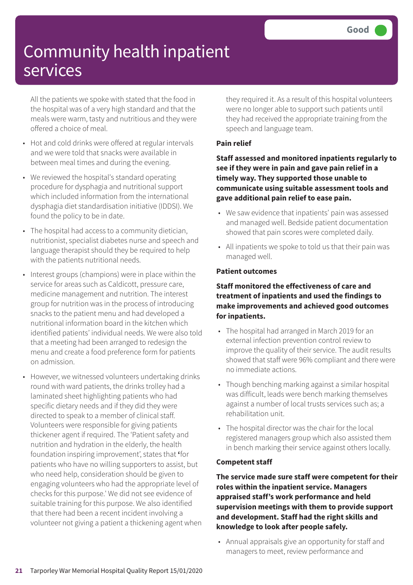All the patients we spoke with stated that the food in the hospital was of a very high standard and that the meals were warm, tasty and nutritious and they were offered a choice of meal.

- Hot and cold drinks were offered at regular intervals and we were told that snacks were available in between meal times and during the evening.
- We reviewed the hospital's standard operating procedure for dysphagia and nutritional support which included information from the international dysphagia diet standardisation initiative (IDDSI). We found the policy to be in date.
- The hospital had access to a community dietician, nutritionist, specialist diabetes nurse and speech and language therapist should they be required to help with the patients nutritional needs.
- Interest groups (champions) were in place within the service for areas such as Caldicott, pressure care, medicine management and nutrition. The interest group for nutrition was in the process of introducing snacks to the patient menu and had developed a nutritional information board in the kitchen which identified patients' individual needs. We were also told that a meeting had been arranged to redesign the menu and create a food preference form for patients on admission.
- However, we witnessed volunteers undertaking drinks round with ward patients, the drinks trolley had a laminated sheet highlighting patients who had specific dietary needs and if they did they were directed to speak to a member of clinical staff. Volunteers were responsible for giving patients thickener agent if required. The 'Patient safety and nutrition and hydration in the elderly, the health foundation inspiring improvement', states that **'**for patients who have no willing supporters to assist, but who need help, consideration should be given to engaging volunteers who had the appropriate level of checks for this purpose.' We did not see evidence of suitable training for this purpose. We also identified that there had been a recent incident involving a volunteer not giving a patient a thickening agent when

they required it. As a result of this hospital volunteers were no longer able to support such patients until they had received the appropriate training from the speech and language team.

### **Pain relief**

**Staff assessed and monitored inpatients regularly to see if they were in pain and gave pain relief in a timely way. They supported those unable to communicate using suitable assessment tools and gave additional pain relief to ease pain.**

- We saw evidence that inpatients' pain was assessed and managed well. Bedside patient documentation showed that pain scores were completed daily.
- All inpatients we spoke to told us that their pain was managed well.

### **Patient outcomes**

### **Staff monitored the effectiveness of care and treatment of inpatients and used the findings to make improvements and achieved good outcomes for inpatients.**

- The hospital had arranged in March 2019 for an external infection prevention control review to improve the quality of their service. The audit results showed that staff were 96% compliant and there were no immediate actions.
- Though benching marking against a similar hospital was difficult, leads were bench marking themselves against a number of local trusts services such as; a rehabilitation unit.
- The hospital director was the chair for the local registered managers group which also assisted them in bench marking their service against others locally.

#### **Competent staff**

**The service made sure staff were competent for their roles within the inpatient service. Managers appraised staff's work performance and held supervision meetings with them to provide support and development. Staff had the right skills and knowledge to look after people safely.**

• Annual appraisals give an opportunity for staff and managers to meet, review performance and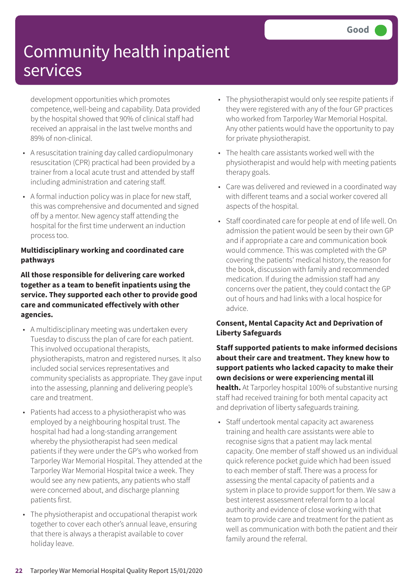development opportunities which promotes competence, well-being and capability. Data provided by the hospital showed that 90% of clinical staff had received an appraisal in the last twelve months and 89% of non-clinical.

- A resuscitation training day called cardiopulmonary resuscitation (CPR) practical had been provided by a trainer from a local acute trust and attended by staff including administration and catering staff.
- A formal induction policy was in place for new staff, this was comprehensive and documented and signed off by a mentor. New agency staff attending the hospital for the first time underwent an induction process too.

### **Multidisciplinary working and coordinated care pathways**

**All those responsible for delivering care worked together as a team to benefit inpatients using the service. They supported each other to provide good care and communicated effectively with other agencies.**

- A multidisciplinary meeting was undertaken every Tuesday to discuss the plan of care for each patient. This involved occupational therapists, physiotherapists, matron and registered nurses. It also included social services representatives and community specialists as appropriate. They gave input into the assessing, planning and delivering people's care and treatment.
- Patients had access to a physiotherapist who was employed by a neighbouring hospital trust. The hospital had had a long-standing arrangement whereby the physiotherapist had seen medical patients if they were under the GP's who worked from Tarporley War Memorial Hospital. They attended at the Tarporley War Memorial Hospital twice a week. They would see any new patients, any patients who staff were concerned about, and discharge planning patients first.
- The physiotherapist and occupational therapist work together to cover each other's annual leave, ensuring that there is always a therapist available to cover holiday leave.
- The physiotherapist would only see respite patients if they were registered with any of the four GP practices who worked from Tarporley War Memorial Hospital. Any other patients would have the opportunity to pay for private physiotherapist.
- The health care assistants worked well with the physiotherapist and would help with meeting patients therapy goals.
- Care was delivered and reviewed in a coordinated way with different teams and a social worker covered all aspects of the hospital.
- Staff coordinated care for people at end of life well. On admission the patient would be seen by their own GP and if appropriate a care and communication book would commence. This was completed with the GP covering the patients' medical history, the reason for the book, discussion with family and recommended medication. If during the admission staff had any concerns over the patient, they could contact the GP out of hours and had links with a local hospice for advice.

### **Consent, Mental Capacity Act and Deprivation of Liberty Safeguards**

**Staff supported patients to make informed decisions about their care and treatment. They knew how to support patients who lacked capacity to make their own decisions or were experiencing mental ill health.** At Tarporley hospital 100% of substantive nursing staff had received training for both mental capacity act and deprivation of liberty safeguards training.

• Staff undertook mental capacity act awareness training and health care assistants were able to recognise signs that a patient may lack mental capacity. One member of staff showed us an individual quick reference pocket guide which had been issued to each member of staff. There was a process for assessing the mental capacity of patients and a system in place to provide support for them. We saw a best interest assessment referral form to a local authority and evidence of close working with that team to provide care and treatment for the patient as well as communication with both the patient and their family around the referral.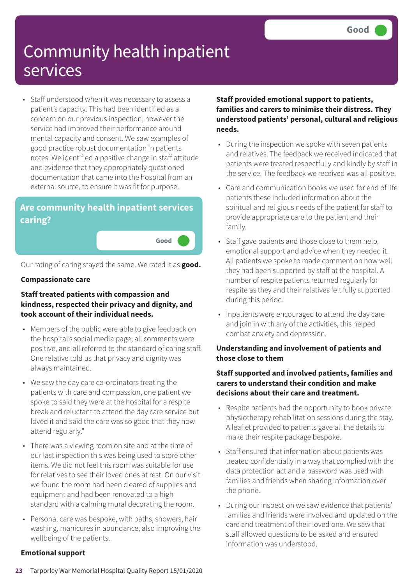• Staff understood when it was necessary to assess a patient's capacity. This had been identified as a concern on our previous inspection, however the service had improved their performance around mental capacity and consent. We saw examples of good practice robust documentation in patients notes. We identified a positive change in staff attitude and evidence that they appropriately questioned documentation that came into the hospital from an external source, to ensure it was fit for purpose.

### **Are community health inpatient services caring?**

**Good –––**

Our rating of caring stayed the same. We rated it as **good.**

#### **Compassionate care**

#### **Staff treated patients with compassion and kindness, respected their privacy and dignity, and took account of their individual needs.**

- Members of the public were able to give feedback on the hospital's social media page; all comments were positive, and all referred to the standard of caring staff. One relative told us that privacy and dignity was always maintained.
- We saw the day care co-ordinators treating the patients with care and compassion, one patient we spoke to said they were at the hospital for a respite break and reluctant to attend the day care service but loved it and said the care was so good that they now attend regularly."
- There was a viewing room on site and at the time of our last inspection this was being used to store other items. We did not feel this room was suitable for use for relatives to see their loved ones at rest. On our visit we found the room had been cleared of supplies and equipment and had been renovated to a high standard with a calming mural decorating the room.
- Personal care was bespoke, with baths, showers, hair washing, manicures in abundance, also improving the wellbeing of the patients.

### **Staff provided emotional support to patients, families and carers to minimise their distress. They understood patients' personal, cultural and religious needs.**

- During the inspection we spoke with seven patients and relatives. The feedback we received indicated that patients were treated respectfully and kindly by staff in the service. The feedback we received was all positive.
- Care and communication books we used for end of life patients these included information about the spiritual and religious needs of the patient for staff to provide appropriate care to the patient and their family.
- Staff gave patients and those close to them help, emotional support and advice when they needed it. All patients we spoke to made comment on how well they had been supported by staff at the hospital. A number of respite patients returned regularly for respite as they and their relatives felt fully supported during this period.
- Inpatients were encouraged to attend the day care and join in with any of the activities, this helped combat anxiety and depression.

### **Understanding and involvement of patients and those close to them**

### **Staff supported and involved patients, families and carers to understand their condition and make decisions about their care and treatment.**

- Respite patients had the opportunity to book private physiotherapy rehabilitation sessions during the stay. A leaflet provided to patients gave all the details to make their respite package bespoke.
- Staff ensured that information about patients was treated confidentially in a way that complied with the data protection act and a password was used with families and friends when sharing information over the phone.
- During our inspection we saw evidence that patients' families and friends were involved and updated on the care and treatment of their loved one. We saw that staff allowed questions to be asked and ensured information was understood.

### **Emotional support**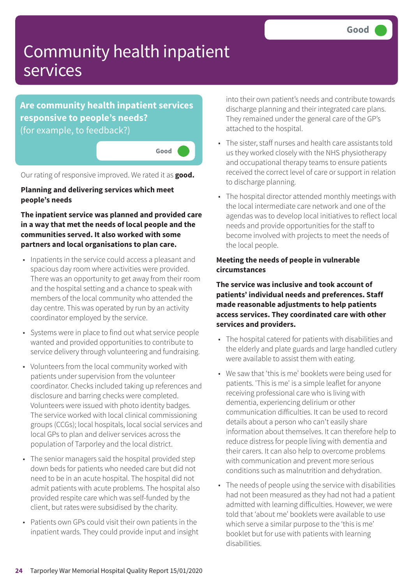**Are community health inpatient services responsive to people's needs?** (for example, to feedback?)

**Good –––**

Our rating of responsive improved. We rated it as **good.**

**Planning and delivering services which meet people's needs**

**The inpatient service was planned and provided care in a way that met the needs of local people and the communities served. It also worked with some partners and local organisations to plan care.**

- Inpatients in the service could access a pleasant and spacious day room where activities were provided. There was an opportunity to get away from their room and the hospital setting and a chance to speak with members of the local community who attended the day centre. This was operated by run by an activity coordinator employed by the service.
- Systems were in place to find out what service people wanted and provided opportunities to contribute to service delivery through volunteering and fundraising.
- Volunteers from the local community worked with patients under supervision from the volunteer coordinator. Checks included taking up references and disclosure and barring checks were completed. Volunteers were issued with photo identity badges. The service worked with local clinical commissioning groups (CCGs); local hospitals, local social services and local GPs to plan and deliver services across the population of Tarporley and the local district.
- The senior managers said the hospital provided step down beds for patients who needed care but did not need to be in an acute hospital. The hospital did not admit patients with acute problems. The hospital also provided respite care which was self-funded by the client, but rates were subsidised by the charity.
- Patients own GPs could visit their own patients in the inpatient wards. They could provide input and insight

into their own patient's needs and contribute towards discharge planning and their integrated care plans. They remained under the general care of the GP's attached to the hospital.

- The sister, staff nurses and health care assistants told us they worked closely with the NHS physiotherapy and occupational therapy teams to ensure patients received the correct level of care or support in relation to discharge planning.
- The hospital director attended monthly meetings with the local intermediate care network and one of the agendas was to develop local initiatives to reflect local needs and provide opportunities for the staff to become involved with projects to meet the needs of the local people.

#### **Meeting the needs of people in vulnerable circumstances**

**The service was inclusive and took account of patients' individual needs and preferences. Staff made reasonable adjustments to help patients access services. They coordinated care with other services and providers.**

- The hospital catered for patients with disabilities and the elderly and plate guards and large handled cutlery were available to assist them with eating.
- We saw that 'this is me' booklets were being used for patients. 'This is me' is a simple leaflet for anyone receiving professional care who is living with dementia, experiencing delirium or other communication difficulties. It can be used to record details about a person who can't easily share information about themselves. It can therefore help to reduce distress for people living with dementia and their carers. It can also help to overcome problems with communication and prevent more serious conditions such as malnutrition and dehydration.
- The needs of people using the service with disabilities had not been measured as they had not had a patient admitted with learning difficulties. However, we were told that 'about me' booklets were available to use which serve a similar purpose to the 'this is me' booklet but for use with patients with learning disabilities.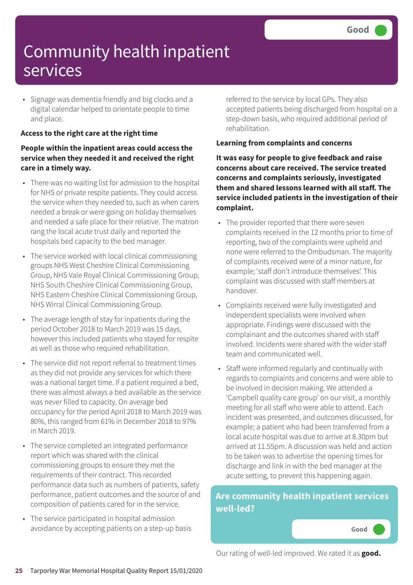• Signage was dementia friendly and big clocks and a digital calendar helped to orientate people to time and place.

### **Access to the right care at the right time**

### **People within the inpatient areas could access the service when they needed it and received the right care in a timely way.**

- There was no waiting list for admission to the hospital for NHS or private respite patients. They could access the service when they needed to, such as when carers needed a break or were going on holiday themselves and needed a safe place for their relative. The matron rang the local acute trust daily and reported the hospitals bed capacity to the bed manager.
- The service worked with local clinical commissioning groups NHS West Cheshire Clinical Commissioning Group, NHS Vale Royal Clinical Commissioning Group, NHS South Cheshire Clinical Commissioning Group, NHS Eastern Cheshire Clinical Commissioning Group, NHS Wirral Clinical Commissioning Group.
- The average length of stay for inpatients during the period October 2018 to March 2019 was 15 days, however this included patients who stayed for respite as well as those who required rehabilitation.
- The service did not report referral to treatment times as they did not provide any services for which there was a national target time. If a patient required a bed, there was almost always a bed available as the service was never filled to capacity. On average bed occupancy for the period April 2018 to March 2019 was 80%, this ranged from 61% in December 2018 to 97% in March 2019.
- The service completed an integrated performance report which was shared with the clinical commissioning groups to ensure they met the requirements of their contract. This recorded performance data such as numbers of patients, safety performance, patient outcomes and the source of and composition of patients cared for in the service.
- The service participated in hospital admission avoidance by accepting patients on a step-up basis

referred to the service by local GPs. They also accepted patients being discharged from hospital on a step-down basis, who required additional period of rehabilitation.

### **Learning from complaints and concerns**

**It was easy for people to give feedback and raise concerns about care received. The service treated concerns and complaints seriously, investigated them and shared lessons learned with all staff. The service included patients in the investigation of their complaint.**

- The provider reported that there were seven complaints received in the 12 months prior to time of reporting, two of the complaints were upheld and none were referred to the Ombudsman. The majority of complaints received were of a minor nature, for example; 'staff don't introduce themselves'. This complaint was discussed with staff members at handover.
- Complaints received were fully investigated and independent specialists were involved when appropriate. Findings were discussed with the complainant and the outcomes shared with staff involved. Incidents were shared with the wider staff team and communicated well.
- Staff were informed regularly and continually with regards to complaints and concerns and were able to be involved in decision making. We attended a 'Campbell quality care group' on our visit, a monthly meeting for all staff who were able to attend. Each incident was presented, and outcomes discussed, for example; a patient who had been transferred from a local acute hospital was due to arrive at 8.30pm but arrived at 11.55pm. A discussion was held and action to be taken was to advertise the opening times for discharge and link in with the bed manager at the acute setting, to prevent this happening again.

### **Are community health inpatient services well-led?**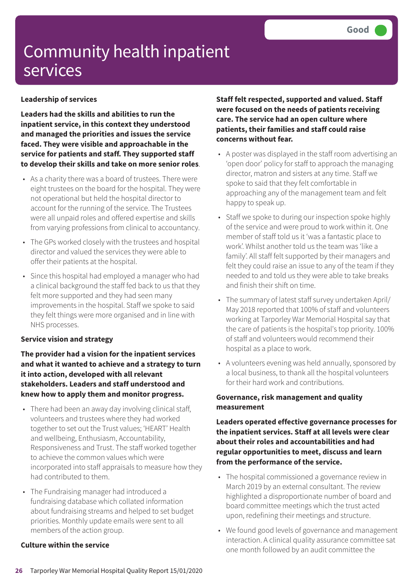### **Leadership of services**

**Leaders had the skills and abilities to run the inpatient service, in this context they understood and managed the priorities and issues the service faced. They were visible and approachable in the service for patients and staff. They supported staff to develop their skills and take on more senior roles**.

- As a charity there was a board of trustees. There were eight trustees on the board for the hospital. They were not operational but held the hospital director to account for the running of the service. The Trustees were all unpaid roles and offered expertise and skills from varying professions from clinical to accountancy.
- The GPs worked closely with the trustees and hospital director and valued the services they were able to offer their patients at the hospital.
- Since this hospital had employed a manager who had a clinical background the staff fed back to us that they felt more supported and they had seen many improvements in the hospital. Staff we spoke to said they felt things were more organised and in line with NHS processes.

#### **Service vision and strategy**

**The provider had a vision for the inpatient services and what it wanted to achieve and a strategy to turn it into action, developed with all relevant stakeholders. Leaders and staff understood and knew how to apply them and monitor progress.**

- There had been an away day involving clinical staff, volunteers and trustees where they had worked together to set out the Trust values; 'HEART' Health and wellbeing, Enthusiasm, Accountability, Responsiveness and Trust. The staff worked together to achieve the common values which were incorporated into staff appraisals to measure how they had contributed to them.
- The Fundraising manager had introduced a fundraising database which collated information about fundraising streams and helped to set budget priorities. Monthly update emails were sent to all members of the action group.

#### **Culture within the service**

**Staff felt respected, supported and valued. Staff were focused on the needs of patients receiving care. The service had an open culture where patients, their families and staff could raise concerns without fear.**

- A poster was displayed in the staff room advertising an 'open door' policy for staff to approach the managing director, matron and sisters at any time. Staff we spoke to said that they felt comfortable in approaching any of the management team and felt happy to speak up.
- Staff we spoke to during our inspection spoke highly of the service and were proud to work within it. One member of staff told us it 'was a fantastic place to work'. Whilst another told us the team was 'like a family'. All staff felt supported by their managers and felt they could raise an issue to any of the team if they needed to and told us they were able to take breaks and finish their shift on time.
- The summary of latest staff survey undertaken April/ May 2018 reported that 100% of staff and volunteers working at Tarporley War Memorial Hospital say that the care of patients is the hospital's top priority. 100% of staff and volunteers would recommend their hospital as a place to work.
- A volunteers evening was held annually, sponsored by a local business, to thank all the hospital volunteers for their hard work and contributions.

#### **Governance, risk management and quality measurement**

**Leaders operated effective governance processes for the inpatient services. Staff at all levels were clear about their roles and accountabilities and had regular opportunities to meet, discuss and learn from the performance of the service.**

- The hospital commissioned a governance review in March 2019 by an external consultant. The review highlighted a disproportionate number of board and board committee meetings which the trust acted upon, redefining their meetings and structure.
- We found good levels of governance and management interaction. A clinical quality assurance committee sat one month followed by an audit committee the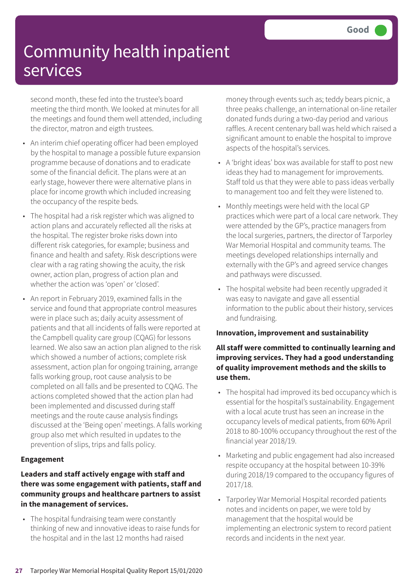second month, these fed into the trustee's board meeting the third month. We looked at minutes for all the meetings and found them well attended, including the director, matron and eigth trustees.

- An interim chief operating officer had been employed by the hospital to manage a possible future expansion programme because of donations and to eradicate some of the financial deficit. The plans were at an early stage, however there were alternative plans in place for income growth which included increasing the occupancy of the respite beds.
- The hospital had a risk register which was aligned to action plans and accurately reflected all the risks at the hospital. The register broke risks down into different risk categories, for example; business and finance and health and safety. Risk descriptions were clear with a rag rating showing the acuity, the risk owner, action plan, progress of action plan and whether the action was 'open' or 'closed'.
- An report in February 2019, examined falls in the service and found that appropriate control measures were in place such as; daily acuity assessment of patients and that all incidents of falls were reported at the Campbell quality care group (CQAG) for lessons learned. We also saw an action plan aligned to the risk which showed a number of actions; complete risk assessment, action plan for ongoing training, arrange falls working group, root cause analysis to be completed on all falls and be presented to CQAG. The actions completed showed that the action plan had been implemented and discussed during staff meetings and the route cause analysis findings discussed at the 'Being open' meetings. A falls working group also met which resulted in updates to the prevention of slips, trips and falls policy.

#### **Engagement**

### **Leaders and staff actively engage with staff and there was some engagement with patients, staff and community groups and healthcare partners to assist in the management of services.**

• The hospital fundraising team were constantly thinking of new and innovative ideas to raise funds for the hospital and in the last 12 months had raised

money through events such as; teddy bears picnic, a three peaks challenge, an international on-line retailer donated funds during a two-day period and various raffles. A recent centenary ball was held which raised a significant amount to enable the hospital to improve aspects of the hospital's services.

- A 'bright ideas' box was available for staff to post new ideas they had to management for improvements. Staff told us that they were able to pass ideas verbally to management too and felt they were listened to.
- Monthly meetings were held with the local GP practices which were part of a local care network. They were attended by the GP's, practice managers from the local surgeries, partners, the director of Tarporley War Memorial Hospital and community teams. The meetings developed relationships internally and externally with the GP's and agreed service changes and pathways were discussed.
- The hospital website had been recently upgraded it was easy to navigate and gave all essential information to the public about their history, services and fundraising.

#### **Innovation, improvement and sustainability**

### **All staff were committed to continually learning and improving services. They had a good understanding of quality improvement methods and the skills to use them.**

- The hospital had improved its bed occupancy which is essential for the hospital's sustainability. Engagement with a local acute trust has seen an increase in the occupancy levels of medical patients, from 60% April 2018 to 80-100% occupancy throughout the rest of the financial year 2018/19.
- Marketing and public engagement had also increased respite occupancy at the hospital between 10-39% during 2018/19 compared to the occupancy figures of 2017/18.
- Tarporley War Memorial Hospital recorded patients notes and incidents on paper, we were told by management that the hospital would be implementing an electronic system to record patient records and incidents in the next year.